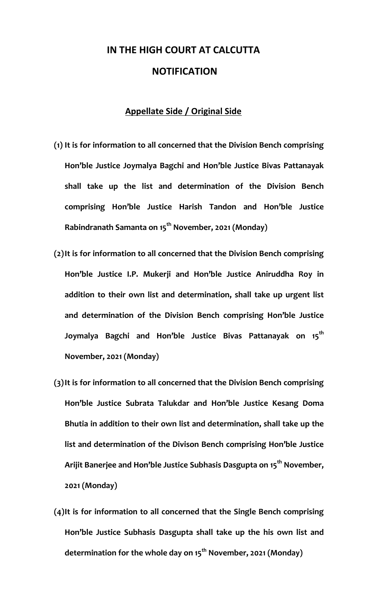## **IN THE HIGH COURT AT CALCUTTA NOTIFICATION**

## **Appellate Side / Original Side**

- **(1) It is for information to all concerned that the Division Bench comprising Hon'ble Justice Joymalya Bagchi and Hon'ble Justice Bivas Pattanayak shall take up the list and determination of the Division Bench comprising Hon'ble Justice Harish Tandon and Hon'ble Justice Rabindranath Samanta on 15th November, 2021 (Monday)**
- **(2)It is for information to all concerned that the Division Bench comprising Hon'ble Justice I.P. Mukerji and Hon'ble Justice Aniruddha Roy in addition to their own list and determination, shall take up urgent list and determination of the Division Bench comprising Hon'ble Justice Joymalya Bagchi and Hon'ble Justice Bivas Pattanayak on 15th November, 2021 (Monday)**
- **(3)It is for information to all concerned that the Division Bench comprising Hon'ble Justice Subrata Talukdar and Hon'ble Justice Kesang Doma Bhutia in addition to their own list and determination, shall take up the list and determination of the Divison Bench comprising Hon'ble Justice Arijit Banerjee and Hon'ble Justice Subhasis Dasgupta on 15th November, 2021 (Monday)**
- **(4)It is for information to all concerned that the Single Bench comprising Hon'ble Justice Subhasis Dasgupta shall take up the his own list and determination for the whole day on 15th November, 2021 (Monday)**